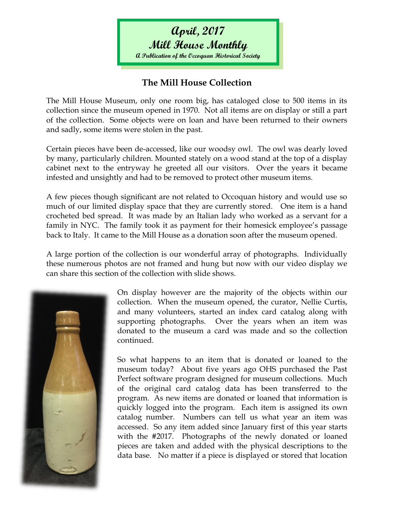**Mill House Monthly A Publication of the Occoquan Historical Society**

## **The Mill House Collection**

The Mill House Museum, only one room big, has cataloged close to 500 items in its collection since the museum opened in 1970. Not all items are on display or still a part of the collection. Some objects were on loan and have been returned to their owners and sadly, some items were stolen in the past.

Certain pieces have been de-accessed, like our woodsy owl. The owl was dearly loved by many, particularly children. Mounted stately on a wood stand at the top of a display cabinet next to the entryway he greeted all our visitors. Over the years it became infested and unsightly and had to be removed to protect other museum items.

A few pieces though significant are not related to Occoquan history and would use so much of our limited display space that they are currently stored. One item is a hand crocheted bed spread. It was made by an Italian lady who worked as a servant for a family in NYC. The family took it as payment for their homesick employee's passage back to Italy. It came to the Mill House as a donation soon after the museum opened.

A large portion of the collection is our wonderful array of photographs. Individually these numerous photos are not framed and hung but now with our video display we can share this section of the collection with slide shows.



On display however are the majority of the objects within our collection. When the museum opened, the curator, Nellie Curtis, and many volunteers, started an index card catalog along with supporting photographs. Over the years when an item was donated to the museum a card was made and so the collection continued.

So what happens to an item that is donated or loaned to the museum today? About five years ago OHS purchased the Past Perfect software program designed for museum collections. Much of the original card catalog data has been transferred to the program. As new items are donated or loaned that information is quickly logged into the program. Each item is assigned its own catalog number. Numbers can tell us what year an item was accessed. So any item added since January first of this year starts with the #2017. Photographs of the newly donated or loaned pieces are taken and added with the physical descriptions to the data base. No matter if a piece is displayed or stored that location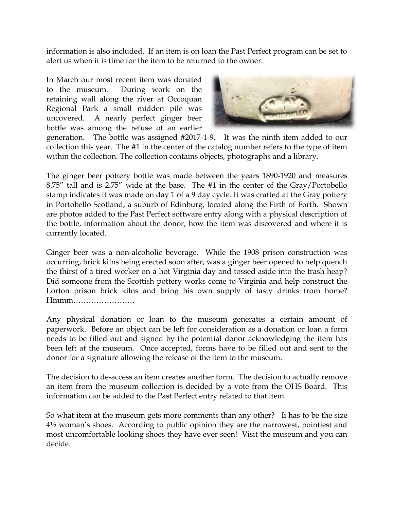information is also included. If an item is on loan the Past Perfect program can be set to alert us when it is time for the item to be returned to the owner.

In March our most recent item was donated to the museum. During work on the retaining wall along the river at Occoquan Regional Park a small midden pile was uncovered. A nearly perfect ginger beer bottle was among the refuse of an earlier



generation. The bottle was assigned #2017-1-9. It was the ninth item added to our collection this year. The #1 in the center of the catalog number refers to the type of item within the collection. The collection contains objects, photographs and a library.

The ginger beer pottery bottle was made between the years 1890-1920 and measures 8.75" tall and is 2.75" wide at the base. The #1 in the center of the Gray/Portobello stamp indicates it was made on day 1 of a 9 day cycle. It was crafted at the Gray pottery in Portobello Scotland, a suburb of Edinburg, located along the Firth of Forth. Shown are photos added to the Past Perfect software entry along with a physical description of the bottle, information about the donor, how the item was discovered and where it is currently located.

Ginger beer was a non-alcoholic beverage. While the 1908 prison construction was occurring, brick kilns being erected soon after, was a ginger beer opened to help quench the thirst of a tired worker on a hot Virginia day and tossed aside into the trash heap? Did someone from the Scottish pottery works come to Virginia and help construct the Lorton prison brick kilns and bring his own supply of tasty drinks from home? Hmmm……………………

Any physical donation or loan to the museum generates a certain amount of paperwork. Before an object can be left for consideration as a donation or loan a form needs to be filled out and signed by the potential donor acknowledging the item has been left at the museum. Once accepted, forms have to be filled out and sent to the donor for a signature allowing the release of the item to the museum.

The decision to de-access an item creates another form. The decision to actually remove an item from the museum collection is decided by a vote from the OHS Board. This information can be added to the Past Perfect entry related to that item.

So what item at the museum gets more comments than any other? Ii has to be the size 4½ woman's shoes. According to public opinion they are the narrowest, pointiest and most uncomfortable looking shoes they have ever seen! Visit the museum and you can decide.